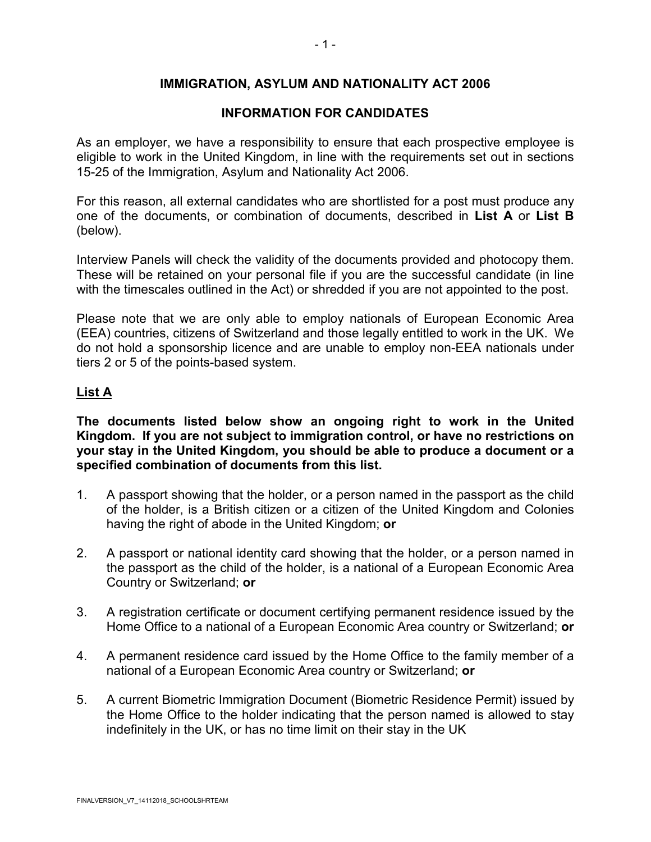## **IMMIGRATION, ASYLUM AND NATIONALITY ACT 2006**

### **INFORMATION FOR CANDIDATES**

As an employer, we have a responsibility to ensure that each prospective employee is eligible to work in the United Kingdom, in line with the requirements set out in sections 15-25 of the Immigration, Asylum and Nationality Act 2006.

For this reason, all external candidates who are shortlisted for a post must produce any one of the documents, or combination of documents, described in **List A** or **List B** (below).

Interview Panels will check the validity of the documents provided and photocopy them. These will be retained on your personal file if you are the successful candidate (in line with the timescales outlined in the Act) or shredded if you are not appointed to the post.

Please note that we are only able to employ nationals of European Economic Area (EEA) countries, citizens of Switzerland and those legally entitled to work in the UK. We do not hold a sponsorship licence and are unable to employ non-EEA nationals under tiers 2 or 5 of the points-based system.

### **List A**

**The documents listed below show an ongoing right to work in the United Kingdom. If you are not subject to immigration control, or have no restrictions on your stay in the United Kingdom, you should be able to produce a document or a specified combination of documents from this list.**

- 1. A passport showing that the holder, or a person named in the passport as the child of the holder, is a British citizen or a citizen of the United Kingdom and Colonies having the right of abode in the United Kingdom; **or**
- 2. A passport or national identity card showing that the holder, or a person named in the passport as the child of the holder, is a national of a European Economic Area Country or Switzerland; **or**
- 3. A registration certificate or document certifying permanent residence issued by the Home Office to a national of a European Economic Area country or Switzerland; **or**
- 4. A permanent residence card issued by the Home Office to the family member of a national of a European Economic Area country or Switzerland; **or**
- 5. A current Biometric Immigration Document (Biometric Residence Permit) issued by the Home Office to the holder indicating that the person named is allowed to stay indefinitely in the UK, or has no time limit on their stay in the UK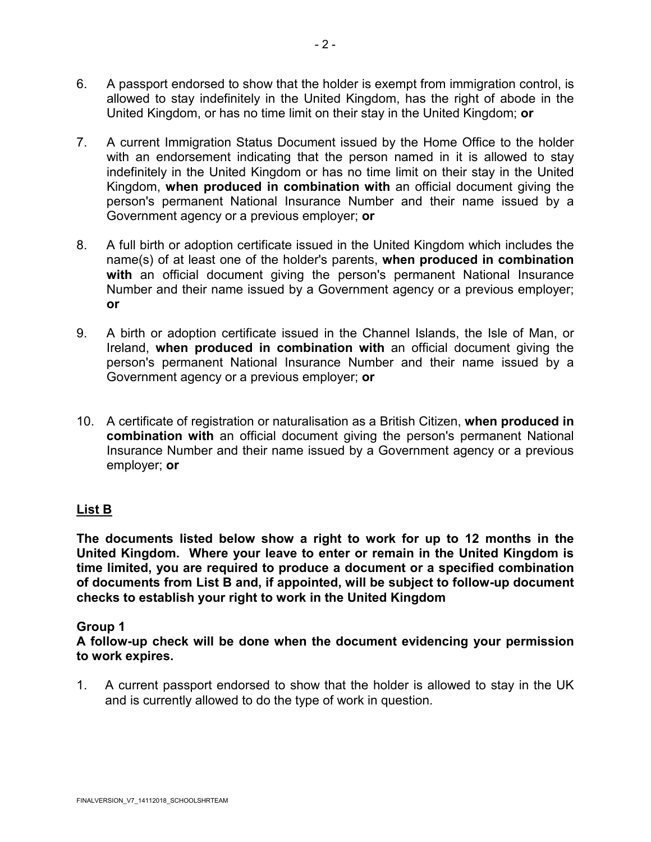- 6. A passport endorsed to show that the holder is exempt from immigration control, is allowed to stay indefinitely in the United Kingdom, has the right of abode in the United Kingdom, or has no time limit on their stay in the United Kingdom; **or**
- 7. A current Immigration Status Document issued by the Home Office to the holder with an endorsement indicating that the person named in it is allowed to stay indefinitely in the United Kingdom or has no time limit on their stay in the United Kingdom, **when produced in combination with** an official document giving the person's permanent National Insurance Number and their name issued by a Government agency or a previous employer; **or**
- 8. A full birth or adoption certificate issued in the United Kingdom which includes the name(s) of at least one of the holder's parents, **when produced in combination with** an official document giving the person's permanent National Insurance Number and their name issued by a Government agency or a previous employer; **or**
- 9. A birth or adoption certificate issued in the Channel Islands, the Isle of Man, or Ireland, **when produced in combination with** an official document giving the person's permanent National Insurance Number and their name issued by a Government agency or a previous employer; **or**
- 10. A certificate of registration or naturalisation as a British Citizen, **when produced in combination with** an official document giving the person's permanent National Insurance Number and their name issued by a Government agency or a previous employer; **or**

# **List B**

**The documents listed below show a right to work for up to 12 months in the United Kingdom. Where your leave to enter or remain in the United Kingdom is time limited, you are required to produce a document or a specified combination of documents from List B and, if appointed, will be subject to follow-up document checks to establish your right to work in the United Kingdom** 

# **Group 1**

**A follow-up check will be done when the document evidencing your permission to work expires.**

1. A current passport endorsed to show that the holder is allowed to stay in the UK and is currently allowed to do the type of work in question.